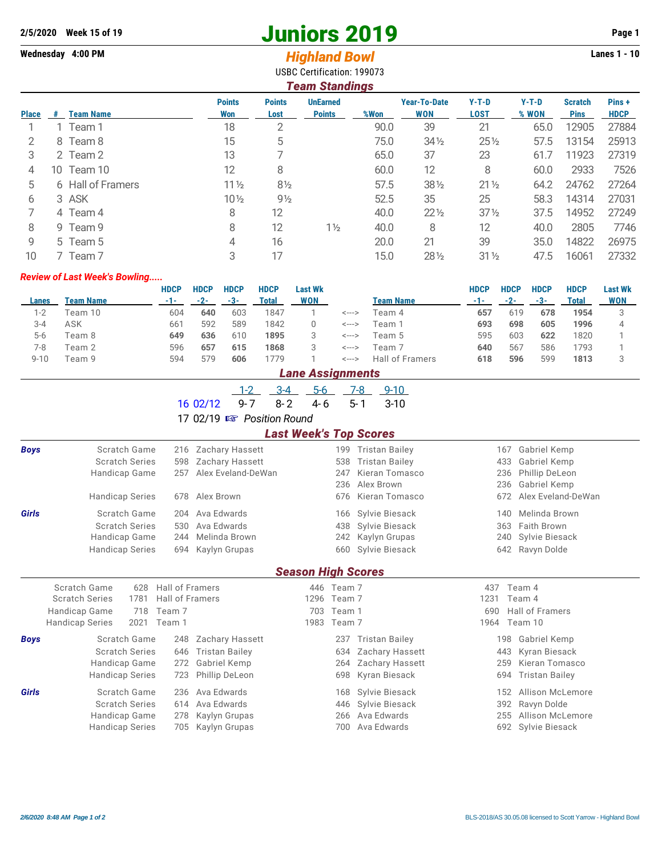## **2/5/2020 Week 15 of 19 Juniors 2019 Page 1**

## **Wednesday 4:00 PM** *Highland Bowl* **Lanes 1 - 10**

USBC Certification: 199073

|              | <b>Team Standings</b> |                   |                      |                       |                                  |      |                                   |                        |                  |                               |                      |  |  |  |
|--------------|-----------------------|-------------------|----------------------|-----------------------|----------------------------------|------|-----------------------------------|------------------------|------------------|-------------------------------|----------------------|--|--|--|
| <b>Place</b> | #                     | <b>Team Name</b>  | <b>Points</b><br>Won | <b>Points</b><br>Lost | <b>UnEarned</b><br><b>Points</b> | %Won | <b>Year-To-Date</b><br><b>WON</b> | $Y-T-D$<br><b>LOST</b> | $Y-T-D$<br>% WON | <b>Scratch</b><br><b>Pins</b> | Pins+<br><b>HDCP</b> |  |  |  |
|              |                       | 1 Team 1          | 18                   | 2                     |                                  | 90.0 | 39                                | 21                     | 65.0             | 12905                         | 27884                |  |  |  |
| 2            |                       | 8 Team 8          | 15                   | 5                     |                                  | 75.0 | $34\frac{1}{2}$                   | $25\%$                 | 57.5             | 13154                         | 25913                |  |  |  |
| 3            |                       | 2 Team 2          | 13                   |                       |                                  | 65.0 | 37                                | 23                     | 61.7             | 11923                         | 27319                |  |  |  |
| 4            | 10-                   | Team 10           | 12                   | 8                     |                                  | 60.0 | 12                                | 8                      | 60.0             | 2933                          | 7526                 |  |  |  |
| 5            |                       | 6 Hall of Framers | $11\frac{1}{2}$      | $8\frac{1}{2}$        |                                  | 57.5 | $38\frac{1}{2}$                   | $21\frac{1}{2}$        | 64.2             | 24762                         | 27264                |  |  |  |
| 6            |                       | 3 ASK             | $10\frac{1}{2}$      | $9\frac{1}{2}$        |                                  | 52.5 | 35                                | 25                     | 58.3             | 14314                         | 27031                |  |  |  |
|              |                       | 4 Team 4          | 8                    | 12                    |                                  | 40.0 | $22\frac{1}{2}$                   | $37\frac{1}{2}$        | 37.5             | 14952                         | 27249                |  |  |  |
| 8            |                       | 9 Team 9          | 8                    | 12                    | $1\frac{1}{2}$                   | 40.0 | 8                                 | 12                     | 40.0             | 2805                          | 7746                 |  |  |  |
| 9            |                       | 5 Team 5          | 4                    | 16                    |                                  | 20.0 | 21                                | 39                     | 35.0             | 14822                         | 26975                |  |  |  |
| 10           |                       | 7 Team 7          | 3                    | 17                    |                                  | 15.0 | $28\frac{1}{2}$                   | $31\frac{1}{2}$        | 47.5             | 16061                         | 27332                |  |  |  |

## *Review of Last Week's Bowling.....*

|         |           | HDCP | <b>HDCP</b> | <b>HDCP</b> | <b>HDCP</b> | <b>Last Wk</b> |       |                 | HDCP | <b>HDCP</b> | HDCP  | <b>HDCP</b> | <b>Last Wk</b> |
|---------|-----------|------|-------------|-------------|-------------|----------------|-------|-----------------|------|-------------|-------|-------------|----------------|
| Lanes   | Team Name | -1-1 | $-2-$       | -3-         | Total       | <b>WON</b>     |       | Team Name       | -1-  | $-2-$       | $-3-$ | Total       | <b>WON</b>     |
| 1-2     | Team 10   | 604  | 640         | 603         | 1847        |                | <---> | Геаm 4          | 657  | 619         | 678   | 1954        |                |
| $3 - 4$ | ASK       | 661  | 592         | 589         | 1842        |                | <---> | Feam 1          | 693  | 698         | 605   | 1996        |                |
| $5-6$   | Team 8    | 649  | 636         | 610         | 1895        |                | <---> | Feam 5          | 595  | 603         | 622   | 1820        |                |
| 7-8     | Team 2    | 596  | 657         | 615         | 1868        | 3              | <---> | Feam 7          | 640  | 567         | 586   | 793         |                |
| 9-10    | Feam 9    | 594  | 579         | 606         | 779         |                | <---> | Hall of Framers | 618  | 596         | 599   | 1813        |                |

|  |  | <b>Lane Assignments</b> |  |
|--|--|-------------------------|--|
|  |  |                         |  |

| $1602/12$ 9-7 8-2 4-6 5-1 3-10 |  |  |  |
|--------------------------------|--|--|--|

17 02/19  $\mathbb{R}$  Position Round

## *Last Week's Top Scores*

|             |                                |                        |                       | .    |            | -----                 |              |                       |  |  |  |  |  |
|-------------|--------------------------------|------------------------|-----------------------|------|------------|-----------------------|--------------|-----------------------|--|--|--|--|--|
| <b>Boys</b> | Scratch Game                   | 216                    | Zachary Hassett       |      | 199        | Tristan Bailey        | 167          | Gabriel Kemp          |  |  |  |  |  |
|             | <b>Scratch Series</b>          | 598                    | Zachary Hassett       |      | 538        | <b>Tristan Bailey</b> | 433          | Gabriel Kemp          |  |  |  |  |  |
|             | Handicap Game                  | 257                    | Alex Eveland-DeWan    |      | 247        | Kieran Tomasco        | 236          | Phillip DeLeon        |  |  |  |  |  |
|             |                                |                        |                       |      | 236        | Alex Brown            | 236          | Gabriel Kemp          |  |  |  |  |  |
|             | <b>Handicap Series</b>         | 678                    | Alex Brown            |      | 676        | Kieran Tomasco        | 672          | Alex Eveland-DeWan    |  |  |  |  |  |
| Girls       | Scratch Game                   | 204                    | Ava Edwards           |      | 166        | Sylvie Biesack        | 140          | Melinda Brown         |  |  |  |  |  |
|             | <b>Scratch Series</b>          | 530                    | Ava Edwards           |      | 438        | Sylvie Biesack        | 363          | Faith Brown           |  |  |  |  |  |
|             | Handicap Game                  | 244                    | Melinda Brown         |      | 242        | Kaylyn Grupas         | 240          | Sylvie Biesack        |  |  |  |  |  |
|             | <b>Handicap Series</b>         |                        | 694 Kaylyn Grupas     |      | 660        | Sylvie Biesack        | 642          | Ravyn Dolde           |  |  |  |  |  |
|             | <b>Season High Scores</b>      |                        |                       |      |            |                       |              |                       |  |  |  |  |  |
|             | Scratch Game<br>628            | Hall of Framers        |                       |      | 446 Team 7 |                       | 437          | Team 4                |  |  |  |  |  |
|             | <b>Scratch Series</b><br>1781  | <b>Hall of Framers</b> |                       | 1296 | Team 7     |                       | 1231         | Team 4                |  |  |  |  |  |
|             | Handicap Game<br>718           | Team 7                 |                       | 703  | Team 1     |                       | 690          | Hall of Framers       |  |  |  |  |  |
|             | 2021<br><b>Handicap Series</b> | Team 1                 |                       | 1983 | Team 7     |                       | 1964 Team 10 |                       |  |  |  |  |  |
| <b>Boys</b> | Scratch Game                   | 248                    | Zachary Hassett       |      | 237        | <b>Tristan Bailey</b> | 198          | Gabriel Kemp          |  |  |  |  |  |
|             | <b>Scratch Series</b>          | 646                    | <b>Tristan Bailey</b> |      | 634        | Zachary Hassett       | 443          | Kyran Biesack         |  |  |  |  |  |
|             | Handicap Game                  | 272                    | Gabriel Kemp          |      | 264        | Zachary Hassett       | 259          | Kieran Tomasco        |  |  |  |  |  |
|             | <b>Handicap Series</b>         | 723                    | Phillip DeLeon        |      | 698        | Kyran Biesack         | 694          | <b>Tristan Bailey</b> |  |  |  |  |  |
| Girls       | Scratch Game                   | 236                    | Ava Edwards           |      | 168        | Sylvie Biesack        | 152          | Allison McLemore      |  |  |  |  |  |
|             | <b>Scratch Series</b>          | 614                    | Ava Edwards           |      | 446        | Sylvie Biesack        | 392          | Ravyn Dolde           |  |  |  |  |  |
|             | Handicap Game                  | 278                    | Kaylyn Grupas         |      | 266        | Ava Edwards           | 255          | Allison McLemore      |  |  |  |  |  |
|             | <b>Handicap Series</b>         | 705                    | Kaylyn Grupas         |      | 700        | Ava Edwards           | 692          | Sylvie Biesack        |  |  |  |  |  |